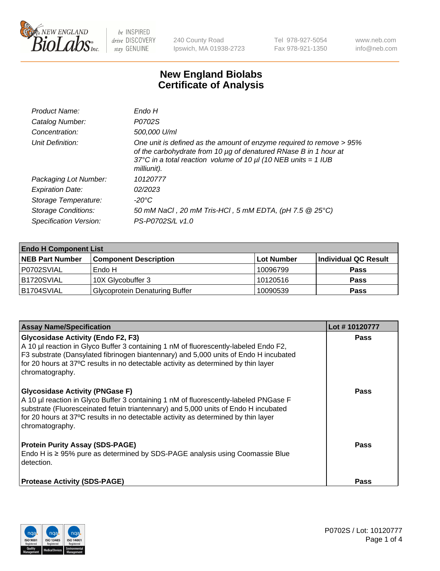

240 County Road Ipswich, MA 01938-2723 Tel 978-927-5054 Fax 978-921-1350 www.neb.com info@neb.com

## **New England Biolabs Certificate of Analysis**

| Endo H                                                                                                                                                                                                                         |
|--------------------------------------------------------------------------------------------------------------------------------------------------------------------------------------------------------------------------------|
| P0702S                                                                                                                                                                                                                         |
| 500,000 U/ml                                                                                                                                                                                                                   |
| One unit is defined as the amount of enzyme required to remove > 95%<br>of the carbohydrate from 10 µg of denatured RNase B in 1 hour at<br>37°C in a total reaction volume of 10 $\mu$ I (10 NEB units = 1 IUB<br>milliunit). |
| 10120777                                                                                                                                                                                                                       |
| 02/2023                                                                                                                                                                                                                        |
| -20°C                                                                                                                                                                                                                          |
| 50 mM NaCl, 20 mM Tris-HCl, 5 mM EDTA, (pH 7.5 @ 25°C)                                                                                                                                                                         |
| PS-P0702S/L v1.0                                                                                                                                                                                                               |
|                                                                                                                                                                                                                                |

| <b>Endo H Component List</b> |                                       |             |                      |  |  |
|------------------------------|---------------------------------------|-------------|----------------------|--|--|
| <b>NEB Part Number</b>       | <b>Component Description</b>          | ∣Lot Number | Individual QC Result |  |  |
| P0702SVIAL                   | Endo H                                | 10096799    | <b>Pass</b>          |  |  |
| B1720SVIAL                   | 10X Glycobuffer 3                     | 10120516    | <b>Pass</b>          |  |  |
| B1704SVIAL                   | <b>Glycoprotein Denaturing Buffer</b> | 10090539    | <b>Pass</b>          |  |  |

| <b>Assay Name/Specification</b>                                                                                                                                                                                                                                                                                                    | Lot #10120777 |
|------------------------------------------------------------------------------------------------------------------------------------------------------------------------------------------------------------------------------------------------------------------------------------------------------------------------------------|---------------|
| <b>Glycosidase Activity (Endo F2, F3)</b><br>A 10 µl reaction in Glyco Buffer 3 containing 1 nM of fluorescently-labeled Endo F2,<br>F3 substrate (Dansylated fibrinogen biantennary) and 5,000 units of Endo H incubated<br>for 20 hours at 37°C results in no detectable activity as determined by thin layer<br>chromatography. | <b>Pass</b>   |
| <b>Glycosidase Activity (PNGase F)</b><br>A 10 µl reaction in Glyco Buffer 3 containing 1 nM of fluorescently-labeled PNGase F<br>substrate (Fluoresceinated fetuin triantennary) and 5,000 units of Endo H incubated<br>for 20 hours at 37°C results in no detectable activity as determined by thin layer<br>chromatography.     | <b>Pass</b>   |
| <b>Protein Purity Assay (SDS-PAGE)</b><br>Endo H is $\geq$ 95% pure as determined by SDS-PAGE analysis using Coomassie Blue<br>detection.                                                                                                                                                                                          | <b>Pass</b>   |
| <b>Protease Activity (SDS-PAGE)</b>                                                                                                                                                                                                                                                                                                | <b>Pass</b>   |

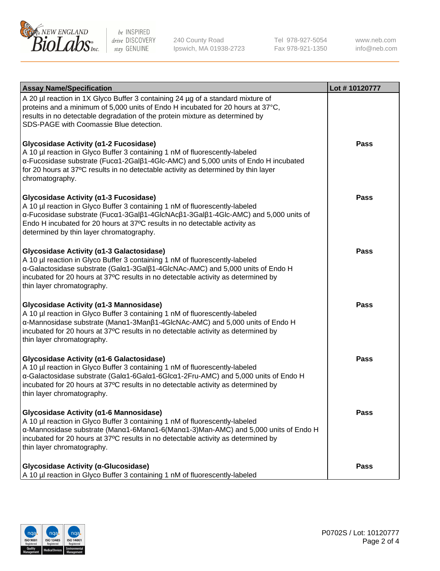

240 County Road Ipswich, MA 01938-2723 Tel 978-927-5054 Fax 978-921-1350 www.neb.com info@neb.com

| <b>Assay Name/Specification</b>                                                                                                                                                                                                                                                                                                       | Lot #10120777 |
|---------------------------------------------------------------------------------------------------------------------------------------------------------------------------------------------------------------------------------------------------------------------------------------------------------------------------------------|---------------|
| A 20 µl reaction in 1X Glyco Buffer 3 containing 24 µg of a standard mixture of<br>proteins and a minimum of 5,000 units of Endo H incubated for 20 hours at 37°C,<br>results in no detectable degradation of the protein mixture as determined by<br>SDS-PAGE with Coomassie Blue detection.                                         |               |
| Glycosidase Activity (α1-2 Fucosidase)<br>A 10 µl reaction in Glyco Buffer 3 containing 1 nM of fluorescently-labeled<br>α-Fucosidase substrate (Fucα1-2Galβ1-4Glc-AMC) and 5,000 units of Endo H incubated<br>for 20 hours at 37°C results in no detectable activity as determined by thin layer<br>chromatography.                  | Pass          |
| Glycosidase Activity (α1-3 Fucosidase)<br>A 10 µl reaction in Glyco Buffer 3 containing 1 nM of fluorescently-labeled<br>α-Fucosidase substrate (Fucα1-3Galβ1-4GlcNAcβ1-3Galβ1-4Glc-AMC) and 5,000 units of<br>Endo H incubated for 20 hours at 37°C results in no detectable activity as<br>determined by thin layer chromatography. | Pass          |
| Glycosidase Activity (α1-3 Galactosidase)<br>A 10 µl reaction in Glyco Buffer 3 containing 1 nM of fluorescently-labeled<br>α-Galactosidase substrate (Galα1-3Galβ1-4GlcNAc-AMC) and 5,000 units of Endo H<br>incubated for 20 hours at 37°C results in no detectable activity as determined by<br>thin layer chromatography.         | Pass          |
| Glycosidase Activity (α1-3 Mannosidase)<br>A 10 µl reaction in Glyco Buffer 3 containing 1 nM of fluorescently-labeled<br>α-Mannosidase substrate (Manα1-3Manβ1-4GlcNAc-AMC) and 5,000 units of Endo H<br>incubated for 20 hours at 37°C results in no detectable activity as determined by<br>thin layer chromatography.             | <b>Pass</b>   |
| Glycosidase Activity (α1-6 Galactosidase)<br>A 10 µl reaction in Glyco Buffer 3 containing 1 nM of fluorescently-labeled<br>α-Galactosidase substrate (Galα1-6Galα1-6Glcα1-2Fru-AMC) and 5,000 units of Endo H<br>incubated for 20 hours at 37°C results in no detectable activity as determined by<br>thin layer chromatography.     | Pass          |
| Glycosidase Activity (α1-6 Mannosidase)<br>A 10 µl reaction in Glyco Buffer 3 containing 1 nM of fluorescently-labeled<br>α-Mannosidase substrate (Μanα1-6Μanα1-6(Μanα1-3)Man-AMC) and 5,000 units of Endo H<br>incubated for 20 hours at 37°C results in no detectable activity as determined by<br>thin layer chromatography.       | <b>Pass</b>   |
| Glycosidase Activity (α-Glucosidase)<br>A 10 µl reaction in Glyco Buffer 3 containing 1 nM of fluorescently-labeled                                                                                                                                                                                                                   | <b>Pass</b>   |

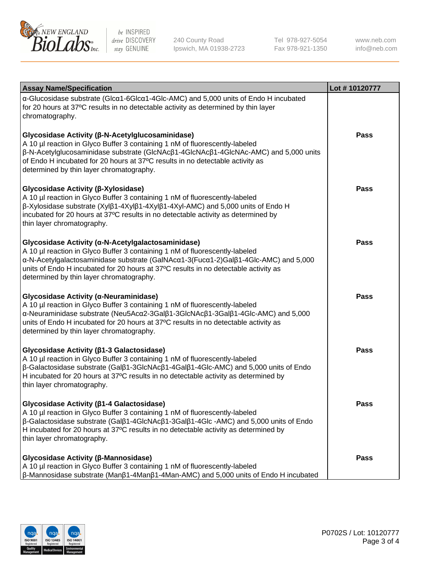

240 County Road Ipswich, MA 01938-2723 Tel 978-927-5054 Fax 978-921-1350 www.neb.com info@neb.com

| <b>Assay Name/Specification</b>                                                                                                                                                                                                                                                                                                                                              | Lot #10120777 |
|------------------------------------------------------------------------------------------------------------------------------------------------------------------------------------------------------------------------------------------------------------------------------------------------------------------------------------------------------------------------------|---------------|
| α-Glucosidase substrate (Glcα1-6Glcα1-4Glc-AMC) and 5,000 units of Endo H incubated<br>for 20 hours at 37°C results in no detectable activity as determined by thin layer<br>chromatography.                                                                                                                                                                                 |               |
| Glycosidase Activity (β-N-Acetylglucosaminidase)<br>A 10 µl reaction in Glyco Buffer 3 containing 1 nM of fluorescently-labeled<br>β-N-Acetylglucosaminidase substrate (GlcNAcβ1-4GlcNAcβ1-4GlcNAc-AMC) and 5,000 units<br>of Endo H incubated for 20 hours at 37°C results in no detectable activity as<br>determined by thin layer chromatography.                         | <b>Pass</b>   |
| Glycosidase Activity (β-Xylosidase)<br>A 10 µl reaction in Glyco Buffer 3 containing 1 nM of fluorescently-labeled<br>$\beta$ -Xylosidase substrate (Xyl $\beta$ 1-4Xyl $\beta$ 1-4Xyl $\beta$ 1-4Xyl-AMC) and 5,000 units of Endo H<br>incubated for 20 hours at 37°C results in no detectable activity as determined by<br>thin layer chromatography.                      | <b>Pass</b>   |
| Glycosidase Activity (α-N-Acetylgalactosaminidase)<br>A 10 µl reaction in Glyco Buffer 3 containing 1 nM of fluorescently-labeled<br>α-N-Acetylgalactosaminidase substrate (GalNAcα1-3(Fucα1-2)Galβ1-4Glc-AMC) and 5,000<br>units of Endo H incubated for 20 hours at 37°C results in no detectable activity as<br>determined by thin layer chromatography.                  | <b>Pass</b>   |
| Glycosidase Activity (α-Neuraminidase)<br>A 10 µl reaction in Glyco Buffer 3 containing 1 nM of fluorescently-labeled<br>α-Neuraminidase substrate (Neu5Acα2-3Galβ1-3GlcNAcβ1-3Galβ1-4Glc-AMC) and 5,000<br>units of Endo H incubated for 20 hours at 37°C results in no detectable activity as<br>determined by thin layer chromatography.                                  | <b>Pass</b>   |
| Glycosidase Activity (β1-3 Galactosidase)<br>A 10 µl reaction in Glyco Buffer 3 containing 1 nM of fluorescently-labeled<br>β-Galactosidase substrate (Galβ1-3GlcNAcβ1-4Galβ1-4Glc-AMC) and 5,000 units of Endo<br>H incubated for 20 hours at 37°C results in no detectable activity as determined by<br>thin layer chromatography.                                         | <b>Pass</b>   |
| Glycosidase Activity ( $\beta$ 1-4 Galactosidase)<br>A 10 µl reaction in Glyco Buffer 3 containing 1 nM of fluorescently-labeled<br>$\beta$ -Galactosidase substrate (Gal $\beta$ 1-4GlcNAc $\beta$ 1-3Gal $\beta$ 1-4Glc -AMC) and 5,000 units of Endo<br>H incubated for 20 hours at 37°C results in no detectable activity as determined by<br>thin layer chromatography. | <b>Pass</b>   |
| Glycosidase Activity (β-Mannosidase)<br>A 10 µl reaction in Glyco Buffer 3 containing 1 nM of fluorescently-labeled<br>$\beta$ -Mannosidase substrate (Man $\beta$ 1-4Man $\beta$ 1-4Man-AMC) and 5,000 units of Endo H incubated                                                                                                                                            | <b>Pass</b>   |